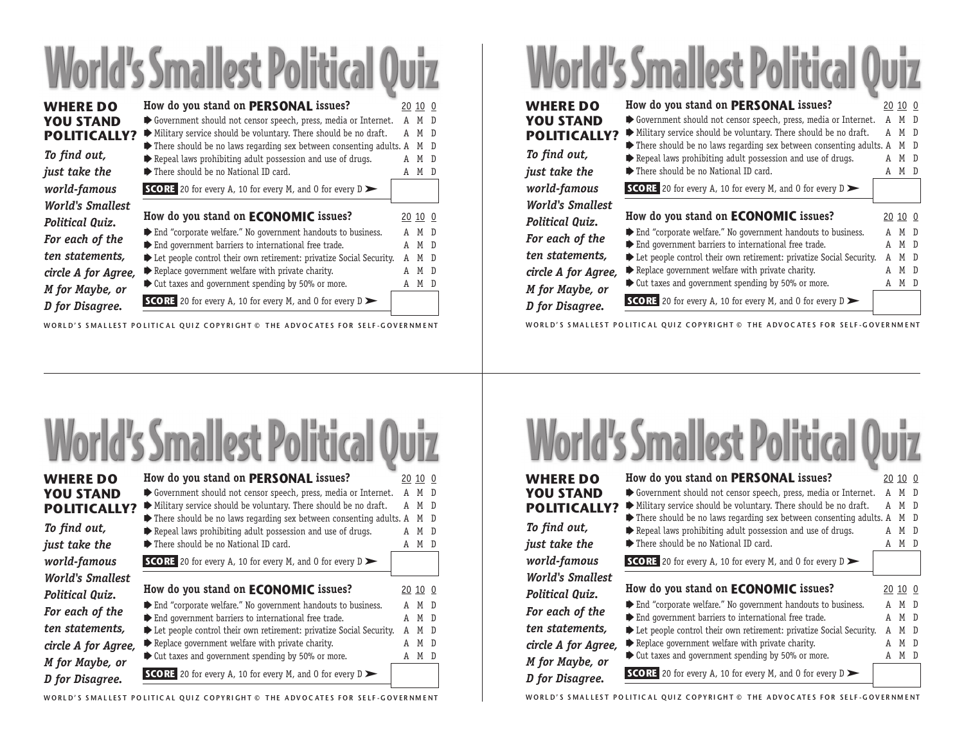## **World's Smallest Political Quiz**

| <b>WHERE DO</b><br><b>YOU STAND</b><br><b>POLITICALLY?</b> | How do you stand on PERSONAL issues?<br>Government should not censor speech, press, media or Internet.<br>Military service should be voluntary. There should be no draft.                                            | A<br>A | 20 10 0<br>M D<br>M | - D            |
|------------------------------------------------------------|----------------------------------------------------------------------------------------------------------------------------------------------------------------------------------------------------------------------|--------|---------------------|----------------|
| To find out,<br>just take the                              | $\blacktriangleright$ There should be no laws regarding sex between consenting adults. A<br>$\blacktriangleright$ Repeal laws prohibiting adult possession and use of drugs.<br>There should be no National ID card. |        | M<br>м<br>M         | -D<br>- D<br>D |
| world-famous                                               | <b>SCORE</b> 20 for every A, 10 for every M, and 0 for every $D$                                                                                                                                                     |        |                     |                |
| <b>World's Smallest</b><br>Political Quiz.                 | How do you stand on <b>ECONOMIC</b> issues?                                                                                                                                                                          |        | 20 10 0             |                |
| For each of the                                            | End "corporate welfare." No government handouts to business.<br>$\blacktriangleright$ End government barriers to international free trade.                                                                           | A<br>A | M D<br>М            | - D            |
| ten statements,<br>circle A for Agree,                     | Example 2 Let people control their own retirement: privatize Social Security.<br>$\blacktriangleright$ Replace government welfare with private charity.                                                              |        | M<br>M D            | - D            |
| M for Maybe, or<br>D for Disagree.                         | $\blacktriangleright$ Cut taxes and government spending by 50% or more.<br><b>SCORE</b> 20 for every A, 10 for every M, and 0 for every $D$                                                                          | A      | M D                 |                |

WORLD'S SMALLEST POLITICAL OUIZ COPYRIGHT © THE ADVOCATES FOR SELF-GOVERNMENT

## **World's Smallest Political Quiz**

| <b>WHERE DO</b><br><b>YOU STAND</b><br><b>POLITICALLY?</b><br>To find out, | How do you stand on PERSONAL issues?<br>Government should not censor speech, press, media or Internet.<br>Military service should be voluntary. There should be no draft.<br>There should be no laws regarding sex between consenting adults. A<br>Repeal laws prohibiting adult possession and use of drugs. | A<br>A | 20 10 0<br>M<br>M<br>M<br>М | - D<br>$\overline{D}$<br>- D<br>D |
|----------------------------------------------------------------------------|---------------------------------------------------------------------------------------------------------------------------------------------------------------------------------------------------------------------------------------------------------------------------------------------------------------|--------|-----------------------------|-----------------------------------|
| just take the                                                              | There should be no National ID card.                                                                                                                                                                                                                                                                          |        | M                           | Ð                                 |
| world-famous                                                               | <b>SCORE</b> 20 for every A, 10 for every M, and 0 for every $D$                                                                                                                                                                                                                                              |        |                             |                                   |
| <b>World's Smallest</b>                                                    |                                                                                                                                                                                                                                                                                                               |        |                             |                                   |
| Political Quiz.                                                            | How do you stand on <b>ECONOMIC</b> issues?                                                                                                                                                                                                                                                                   |        | 20 10 0                     |                                   |
| For each of the                                                            | End "corporate welfare." No government handouts to business.                                                                                                                                                                                                                                                  | A      | M                           | $\Box$                            |
| ten statements,                                                            | $\blacktriangleright$ End government barriers to international free trade.<br>Example 2 Let people control their own retirement: privatize Social Security.                                                                                                                                                   | A<br>A | M<br>M                      | - D<br>D                          |
| circle A for Agree,                                                        | $\blacktriangleright$ Replace government welfare with private charity.                                                                                                                                                                                                                                        | A      | M                           | D                                 |
| M for Maybe, or                                                            | $\blacktriangleright$ Cut taxes and government spending by 50% or more.                                                                                                                                                                                                                                       | A      | М                           | D                                 |
| D for Disagree.                                                            | <b>SCORE</b> 20 for every A, 10 for every M, and 0 for every $D$                                                                                                                                                                                                                                              |        |                             |                                   |

WORLD'S SMALLEST POLITICAL OUIZ COPYRIGHT © THE ADVOCATES FOR SELF-GOVERNMENT



## WORLD'S SMALLEST POLITICAL OUIZ COPYRIGHT © THE ADVOCATES FOR SELF-GOVERNMENT

## **World's Smallest Political Quiz**

| <b>WHERE DO</b>         | How do you stand on PERSONAL issues?                                                                                                                   |   | 20 10 0  |                |
|-------------------------|--------------------------------------------------------------------------------------------------------------------------------------------------------|---|----------|----------------|
| <b>YOU STAND</b>        | Government should not censor speech, press, media or Internet.                                                                                         |   | M        | $\overline{D}$ |
| <b>POLITICALLY?</b>     | Military service should be voluntary. There should be no draft.                                                                                        | A | M        | - D            |
| To find out,            | $\blacktriangleright$ There should be no laws regarding sex between consenting adults. A<br>Repeal laws prohibiting adult possession and use of drugs. |   | М<br>M D | -D             |
| just take the           | There should be no National ID card.                                                                                                                   |   | M D      |                |
| world-famous            | <b>SCORE</b> 20 for every A, 10 for every M, and 0 for every $D$                                                                                       |   |          |                |
| <b>World's Smallest</b> |                                                                                                                                                        |   |          |                |
| Political Quiz.         | How do you stand on ECONOMIC issues?                                                                                                                   |   | 20 10 0  |                |
| For each of the         | End "corporate welfare." No government handouts to business.                                                                                           | A | M D      |                |
|                         | $\blacktriangleright$ End government barriers to international free trade.                                                                             |   | M D      |                |
| ten statements,         | Let people control their own retirement: privatize Social Security.                                                                                    |   | M        | - D            |
| circle A for Agree,     | $\blacktriangleright$ Replace government welfare with private charity.                                                                                 |   | M        | D              |
| M for Maybe, or         | $\blacktriangleright$ Cut taxes and government spending by 50% or more.                                                                                | A | M D      |                |
| D for Disagree.         | <b>SCORE</b> 20 for every A, 10 for every M, and 0 for every $D$                                                                                       |   |          |                |

WORLD'S SMALLEST POLITICAL QUIZ COPYRIGHT © THE ADVOCATES FOR SELF-GOVERNMENT